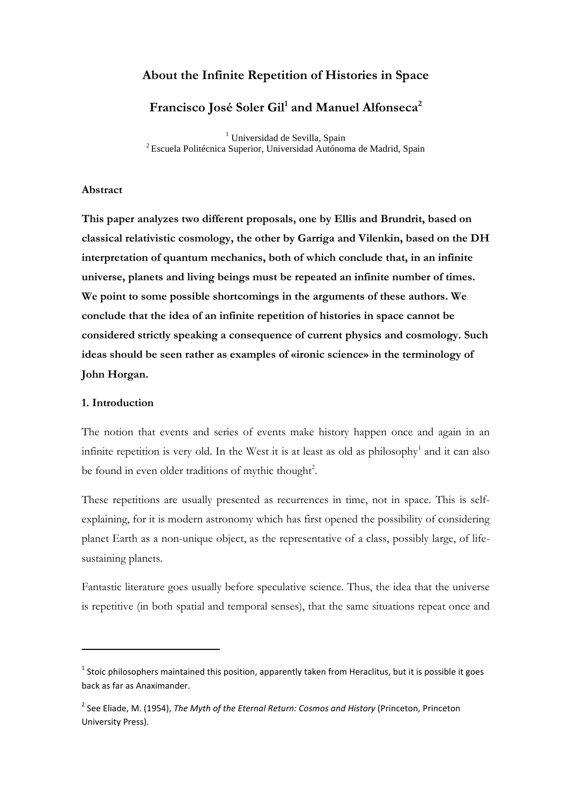# **About the Infinite Repetition of Histories in Space**

# **Francisco José Soler Gil<sup>1</sup> and Manuel Alfonseca<sup>2</sup>**

<sup>1</sup> Universidad de Sevilla, Spain <sup>2</sup>Escuela Politécnica Superior, Universidad Autónoma de Madrid, Spain

#### **Abstract**

**This paper analyzes two different proposals, one by Ellis and Brundrit, based on classical relativistic cosmology, the other by Garriga and Vilenkin, based on the DH interpretation of quantum mechanics, both of which conclude that, in an infinite universe, planets and living beings must be repeated an infinite number of times. We point to some possible shortcomings in the arguments of these authors. We conclude that the idea of an infinite repetition of histories in space cannot be considered strictly speaking a consequence of current physics and cosmology. Such ideas should be seen rather as examples of «ironic science» in the terminology of John Horgan.** 

#### **1. Introduction**

l

The notion that events and series of events make history happen once and again in an infinite repetition is very old. In the West it is at least as old as philosophy<sup>1</sup> and it can also be found in even older traditions of mythic thought<sup>2</sup>.

These repetitions are usually presented as recurrences in time, not in space. This is selfexplaining, for it is modern astronomy which has first opened the possibility of considering planet Earth as a non-unique object, as the representative of a class, possibly large, of lifesustaining planets.

Fantastic literature goes usually before speculative science. Thus, the idea that the universe is repetitive (in both spatial and temporal senses), that the same situations repeat once and

 $^1$  Stoic philosophers maintained this position, apparently taken from Heraclitus, but it is possible it goes back as far as Anaximander.

<sup>2</sup> See Eliade, M. (1954), *The Myth of the Eternal Return: Cosmos and History* (Princeton, Princeton University Press).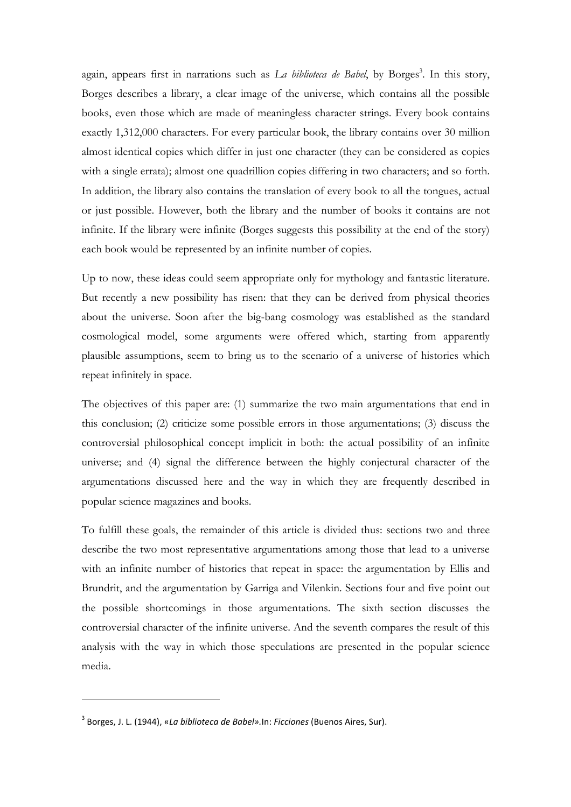again, appears first in narrations such as *La biblioteca de Babel*, by Borges<sup>3</sup>. In this story, Borges describes a library, a clear image of the universe, which contains all the possible books, even those which are made of meaningless character strings. Every book contains exactly 1,312,000 characters. For every particular book, the library contains over 30 million almost identical copies which differ in just one character (they can be considered as copies with a single errata); almost one quadrillion copies differing in two characters; and so forth. In addition, the library also contains the translation of every book to all the tongues, actual or just possible. However, both the library and the number of books it contains are not infinite. If the library were infinite (Borges suggests this possibility at the end of the story) each book would be represented by an infinite number of copies.

Up to now, these ideas could seem appropriate only for mythology and fantastic literature. But recently a new possibility has risen: that they can be derived from physical theories about the universe. Soon after the big-bang cosmology was established as the standard cosmological model, some arguments were offered which, starting from apparently plausible assumptions, seem to bring us to the scenario of a universe of histories which repeat infinitely in space.

The objectives of this paper are: (1) summarize the two main argumentations that end in this conclusion; (2) criticize some possible errors in those argumentations; (3) discuss the controversial philosophical concept implicit in both: the actual possibility of an infinite universe; and (4) signal the difference between the highly conjectural character of the argumentations discussed here and the way in which they are frequently described in popular science magazines and books.

To fulfill these goals, the remainder of this article is divided thus: sections two and three describe the two most representative argumentations among those that lead to a universe with an infinite number of histories that repeat in space: the argumentation by Ellis and Brundrit, and the argumentation by Garriga and Vilenkin. Sections four and five point out the possible shortcomings in those argumentations. The sixth section discusses the controversial character of the infinite universe. And the seventh compares the result of this analysis with the way in which those speculations are presented in the popular science media.

<sup>3</sup> Borges, J. L. (1944), «*La biblioteca de Babel».*In: *Ficciones* (Buenos Aires, Sur).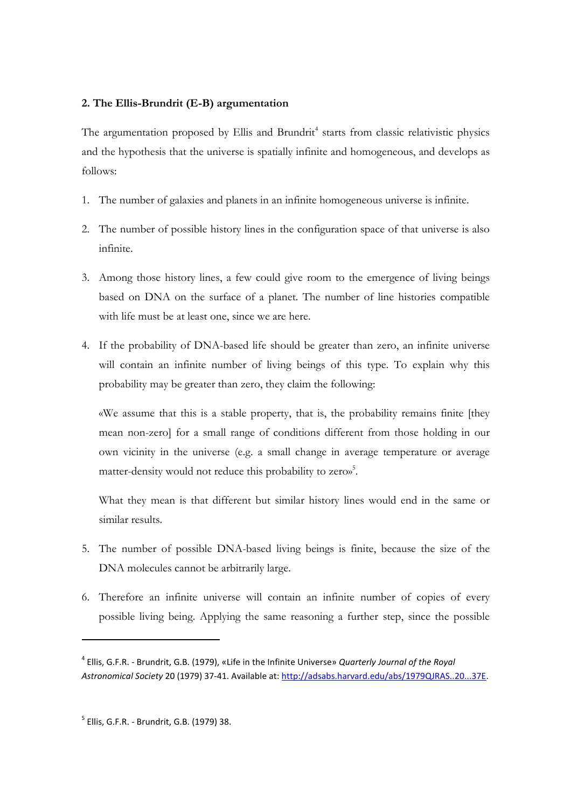# **2. The Ellis-Brundrit (E-B) argumentation**

The argumentation proposed by Ellis and Brundrit<sup>4</sup> starts from classic relativistic physics and the hypothesis that the universe is spatially infinite and homogeneous, and develops as follows:

- 1. The number of galaxies and planets in an infinite homogeneous universe is infinite.
- 2. The number of possible history lines in the configuration space of that universe is also infinite.
- 3. Among those history lines, a few could give room to the emergence of living beings based on DNA on the surface of a planet. The number of line histories compatible with life must be at least one, since we are here.
- 4. If the probability of DNA-based life should be greater than zero, an infinite universe will contain an infinite number of living beings of this type. To explain why this probability may be greater than zero, they claim the following:

«We assume that this is a stable property, that is, the probability remains finite [they mean non-zero] for a small range of conditions different from those holding in our own vicinity in the universe (e.g. a small change in average temperature or average matter-density would not reduce this probability to zero»<sup>5</sup>.

What they mean is that different but similar history lines would end in the same or similar results.

- 5. The number of possible DNA-based living beings is finite, because the size of the DNA molecules cannot be arbitrarily large.
- 6. Therefore an infinite universe will contain an infinite number of copies of every possible living being. Applying the same reasoning a further step, since the possible

<sup>4</sup> Ellis, G.F.R. - Brundrit, G.B. (1979), «Life in the Infinite Universe» *Quarterly Journal of the Royal Astronomical Society* 20 (1979) 37-41. Available at: http://adsabs.harvard.edu/abs/1979QJRAS..20...37E.

<sup>&</sup>lt;sup>5</sup> Ellis, G.F.R. - Brundrit, G.B. (1979) 38.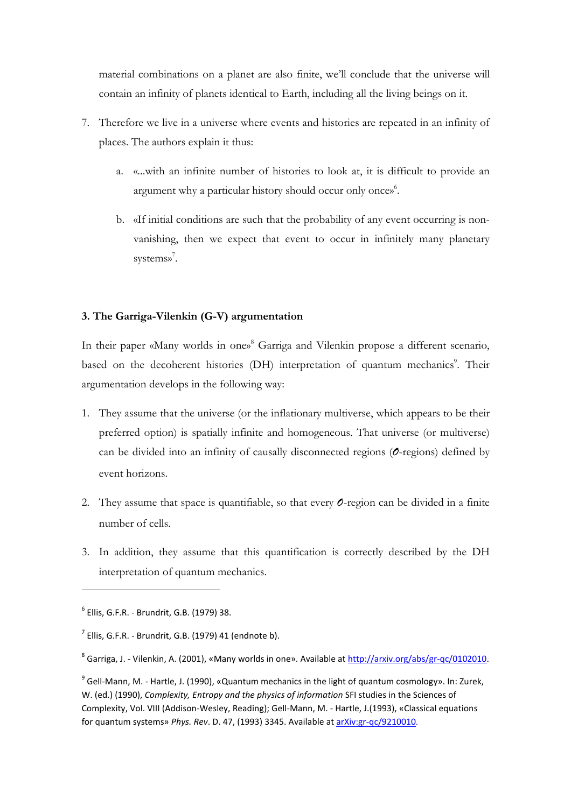material combinations on a planet are also finite, we'll conclude that the universe will contain an infinity of planets identical to Earth, including all the living beings on it.

- 7. Therefore we live in a universe where events and histories are repeated in an infinity of places. The authors explain it thus:
	- a. «...with an infinite number of histories to look at, it is difficult to provide an argument why a particular history should occur only once»<sup>6</sup>.
	- b. «If initial conditions are such that the probability of any event occurring is nonvanishing, then we expect that event to occur in infinitely many planetary systems»<sup>7</sup>.

# **3. The Garriga-Vilenkin (G-V) argumentation**

In their paper «Many worlds in one»<sup>8</sup> Garriga and Vilenkin propose a different scenario, based on the decoherent histories (DH) interpretation of quantum mechanics<sup>9</sup>. Their argumentation develops in the following way:

- 1. They assume that the universe (or the inflationary multiverse, which appears to be their preferred option) is spatially infinite and homogeneous. That universe (or multiverse) can be divided into an infinity of causally disconnected regions (*O*-regions) defined by event horizons.
- 2. They assume that space is quantifiable, so that every *O*-region can be divided in a finite number of cells.
- 3. In addition, they assume that this quantification is correctly described by the DH interpretation of quantum mechanics.

<sup>6</sup> Ellis, G.F.R. - Brundrit, G.B. (1979) 38.

 $^7$  Ellis, G.F.R. - Brundrit, G.B. (1979) 41 (endnote b).

<sup>&</sup>lt;sup>8</sup> Garriga, J. - Vilenkin, A. (2001), «Many worlds in one». Available at http://arxiv.org/abs/gr-qc/0102010.

 $^9$  Gell-Mann, M. - Hartle, J. (1990), «Quantum mechanics in the light of quantum cosmology». In: Zurek, W. (ed.) (1990), *Complexity, Entropy and the physics of information* SFI studies in the Sciences of Complexity, Vol. VIII (Addison-Wesley, Reading); Gell-Mann, M. - Hartle, J.(1993), «Classical equations for quantum systems» *Phys. Rev*. D. 47, (1993) 3345. Available at arXiv:gr-qc/9210010.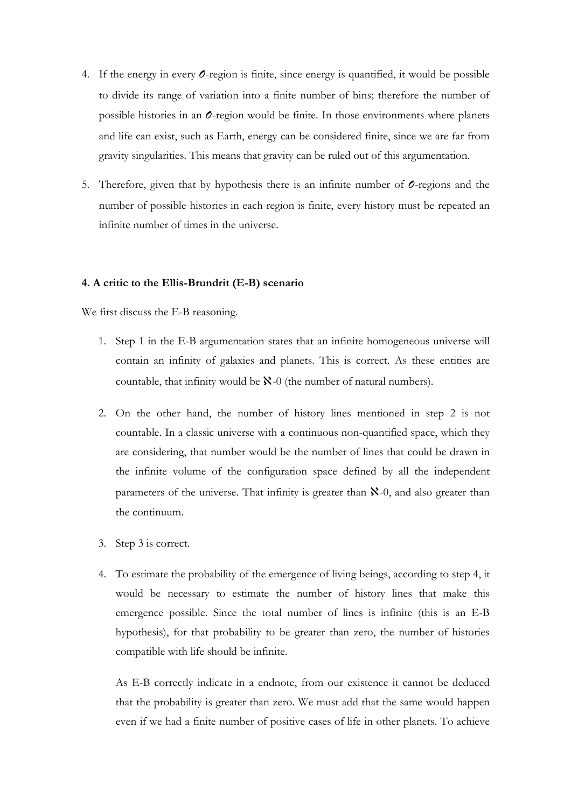- 4. If the energy in every *O*-region is finite, since energy is quantified, it would be possible to divide its range of variation into a finite number of bins; therefore the number of possible histories in an *O*-region would be finite. In those environments where planets and life can exist, such as Earth, energy can be considered finite, since we are far from gravity singularities. This means that gravity can be ruled out of this argumentation.
- 5. Therefore, given that by hypothesis there is an infinite number of *O*-regions and the number of possible histories in each region is finite, every history must be repeated an infinite number of times in the universe.

### **4. A critic to the Ellis-Brundrit (E-B) scenario**

We first discuss the E-B reasoning.

- 1. Step 1 in the E-B argumentation states that an infinite homogeneous universe will contain an infinity of galaxies and planets. This is correct. As these entities are countable, that infinity would be  $\aleph$ -0 (the number of natural numbers).
- 2. On the other hand, the number of history lines mentioned in step 2 is not countable. In a classic universe with a continuous non-quantified space, which they are considering, that number would be the number of lines that could be drawn in the infinite volume of the configuration space defined by all the independent parameters of the universe. That infinity is greater than  $\aleph$ -0, and also greater than the continuum.
- 3. Step 3 is correct.
- 4. To estimate the probability of the emergence of living beings, according to step 4, it would be necessary to estimate the number of history lines that make this emergence possible. Since the total number of lines is infinite (this is an E-B hypothesis), for that probability to be greater than zero, the number of histories compatible with life should be infinite.

As E-B correctly indicate in a endnote, from our existence it cannot be deduced that the probability is greater than zero. We must add that the same would happen even if we had a finite number of positive cases of life in other planets. To achieve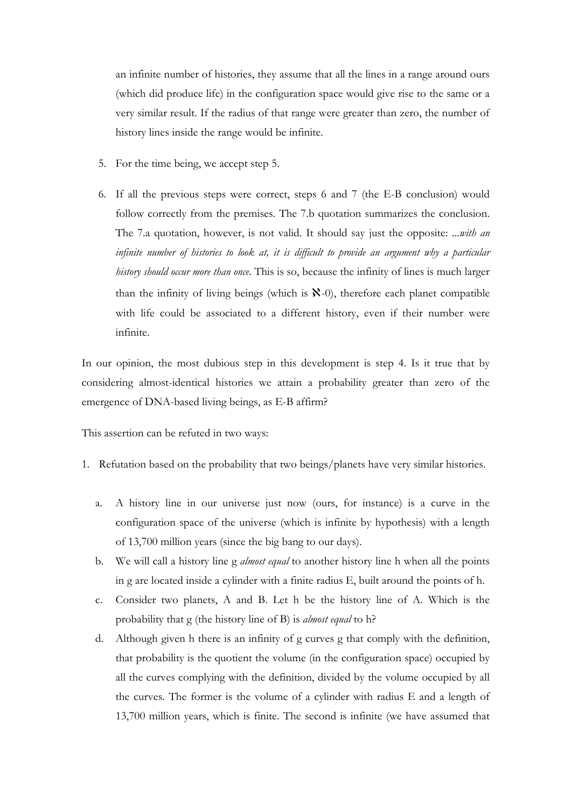an infinite number of histories, they assume that all the lines in a range around ours (which did produce life) in the configuration space would give rise to the same or a very similar result. If the radius of that range were greater than zero, the number of history lines inside the range would be infinite.

- 5. For the time being, we accept step 5.
- 6. If all the previous steps were correct, steps 6 and 7 (the E-B conclusion) would follow correctly from the premises. The 7.b quotation summarizes the conclusion. The 7.a quotation, however, is not valid. It should say just the opposite: *...with an*  infinite number of histories to look at, it is difficult to provide an argument why a particular *history should occur more than once*. This is so, because the infinity of lines is much larger than the infinity of living beings (which is  $\mathbf{X}$ -0), therefore each planet compatible with life could be associated to a different history, even if their number were infinite.

In our opinion, the most dubious step in this development is step 4. Is it true that by considering almost-identical histories we attain a probability greater than zero of the emergence of DNA-based living beings, as E-B affirm?

This assertion can be refuted in two ways:

- 1. Refutation based on the probability that two beings/planets have very similar histories.
	- a. A history line in our universe just now (ours, for instance) is a curve in the configuration space of the universe (which is infinite by hypothesis) with a length of 13,700 million years (since the big bang to our days).
	- b. We will call a history line g *almost equal* to another history line h when all the points in g are located inside a cylinder with a finite radius E, built around the points of h.
	- c. Consider two planets, A and B. Let h be the history line of A. Which is the probability that g (the history line of B) is *almost equal* to h?
	- d. Although given h there is an infinity of g curves g that comply with the definition, that probability is the quotient the volume (in the configuration space) occupied by all the curves complying with the definition, divided by the volume occupied by all the curves. The former is the volume of a cylinder with radius E and a length of 13,700 million years, which is finite. The second is infinite (we have assumed that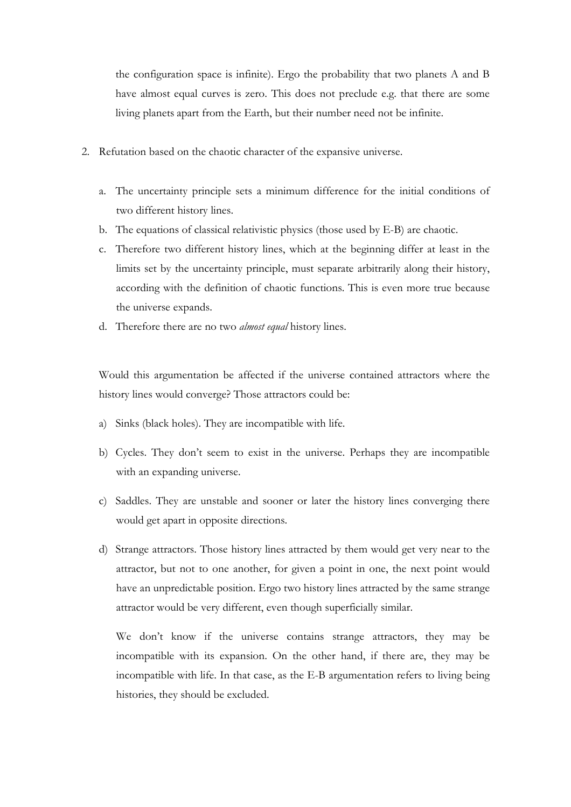the configuration space is infinite). Ergo the probability that two planets A and B have almost equal curves is zero. This does not preclude e.g. that there are some living planets apart from the Earth, but their number need not be infinite.

- 2. Refutation based on the chaotic character of the expansive universe.
	- a. The uncertainty principle sets a minimum difference for the initial conditions of two different history lines.
	- b. The equations of classical relativistic physics (those used by E-B) are chaotic.
	- c. Therefore two different history lines, which at the beginning differ at least in the limits set by the uncertainty principle, must separate arbitrarily along their history, according with the definition of chaotic functions. This is even more true because the universe expands.
	- d. Therefore there are no two *almost equal* history lines.

Would this argumentation be affected if the universe contained attractors where the history lines would converge? Those attractors could be:

- a) Sinks (black holes). They are incompatible with life.
- b) Cycles. They don't seem to exist in the universe. Perhaps they are incompatible with an expanding universe.
- c) Saddles. They are unstable and sooner or later the history lines converging there would get apart in opposite directions.
- d) Strange attractors. Those history lines attracted by them would get very near to the attractor, but not to one another, for given a point in one, the next point would have an unpredictable position. Ergo two history lines attracted by the same strange attractor would be very different, even though superficially similar.

We don't know if the universe contains strange attractors, they may be incompatible with its expansion. On the other hand, if there are, they may be incompatible with life. In that case, as the E-B argumentation refers to living being histories, they should be excluded.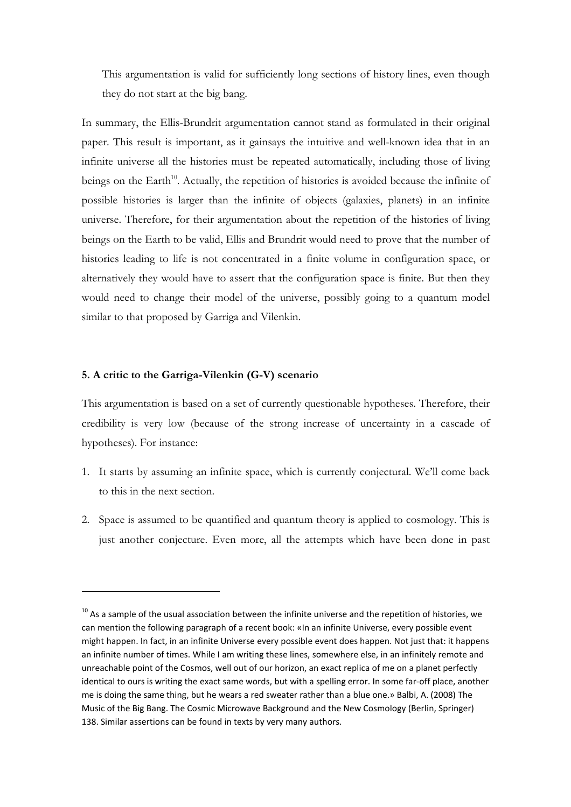This argumentation is valid for sufficiently long sections of history lines, even though they do not start at the big bang.

In summary, the Ellis-Brundrit argumentation cannot stand as formulated in their original paper. This result is important, as it gainsays the intuitive and well-known idea that in an infinite universe all the histories must be repeated automatically, including those of living beings on the Earth<sup>10</sup>. Actually, the repetition of histories is avoided because the infinite of possible histories is larger than the infinite of objects (galaxies, planets) in an infinite universe. Therefore, for their argumentation about the repetition of the histories of living beings on the Earth to be valid, Ellis and Brundrit would need to prove that the number of histories leading to life is not concentrated in a finite volume in configuration space, or alternatively they would have to assert that the configuration space is finite. But then they would need to change their model of the universe, possibly going to a quantum model similar to that proposed by Garriga and Vilenkin.

## **5. A critic to the Garriga-Vilenkin (G-V) scenario**

This argumentation is based on a set of currently questionable hypotheses. Therefore, their credibility is very low (because of the strong increase of uncertainty in a cascade of hypotheses). For instance:

- 1. It starts by assuming an infinite space, which is currently conjectural. We'll come back to this in the next section.
- 2. Space is assumed to be quantified and quantum theory is applied to cosmology. This is just another conjecture. Even more, all the attempts which have been done in past

 $10$  As a sample of the usual association between the infinite universe and the repetition of histories, we can mention the following paragraph of a recent book: «In an infinite Universe, every possible event might happen. In fact, in an infinite Universe every possible event does happen. Not just that: it happens an infinite number of times. While I am writing these lines, somewhere else, in an infinitely remote and unreachable point of the Cosmos, well out of our horizon, an exact replica of me on a planet perfectly identical to ours is writing the exact same words, but with a spelling error. In some far-off place, another me is doing the same thing, but he wears a red sweater rather than a blue one.» Balbi, A. (2008) The Music of the Big Bang. The Cosmic Microwave Background and the New Cosmology (Berlin, Springer) 138. Similar assertions can be found in texts by very many authors.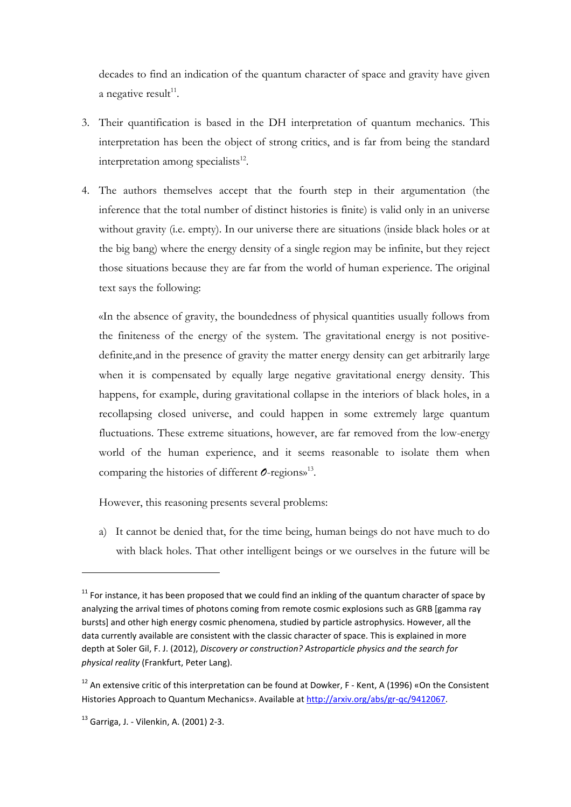decades to find an indication of the quantum character of space and gravity have given a negative result $^{11}$ .

- 3. Their quantification is based in the DH interpretation of quantum mechanics. This interpretation has been the object of strong critics, and is far from being the standard interpretation among specialists<sup>12</sup>.
- 4. The authors themselves accept that the fourth step in their argumentation (the inference that the total number of distinct histories is finite) is valid only in an universe without gravity (i.e. empty). In our universe there are situations (inside black holes or at the big bang) where the energy density of a single region may be infinite, but they reject those situations because they are far from the world of human experience. The original text says the following:

«In the absence of gravity, the boundedness of physical quantities usually follows from the finiteness of the energy of the system. The gravitational energy is not positivedefinite,and in the presence of gravity the matter energy density can get arbitrarily large when it is compensated by equally large negative gravitational energy density. This happens, for example, during gravitational collapse in the interiors of black holes, in a recollapsing closed universe, and could happen in some extremely large quantum fluctuations. These extreme situations, however, are far removed from the low-energy world of the human experience, and it seems reasonable to isolate them when comparing the histories of different *O*-regions»<sup>13</sup> .

However, this reasoning presents several problems:

a) It cannot be denied that, for the time being, human beings do not have much to do with black holes. That other intelligent beings or we ourselves in the future will be

 $11$  For instance, it has been proposed that we could find an inkling of the quantum character of space by analyzing the arrival times of photons coming from remote cosmic explosions such as GRB [gamma ray bursts] and other high energy cosmic phenomena, studied by particle astrophysics. However, all the data currently available are consistent with the classic character of space. This is explained in more depth at Soler Gil, F. J. (2012), *Discovery or construction? Astroparticle physics and the search for physical reality* (Frankfurt, Peter Lang).

 $12$  An extensive critic of this interpretation can be found at Dowker, F - Kent, A (1996) «On the Consistent Histories Approach to Quantum Mechanics». Available at http://arxiv.org/abs/gr-qc/9412067.

<sup>13</sup> Garriga, J. - Vilenkin, A. (2001) 2-3.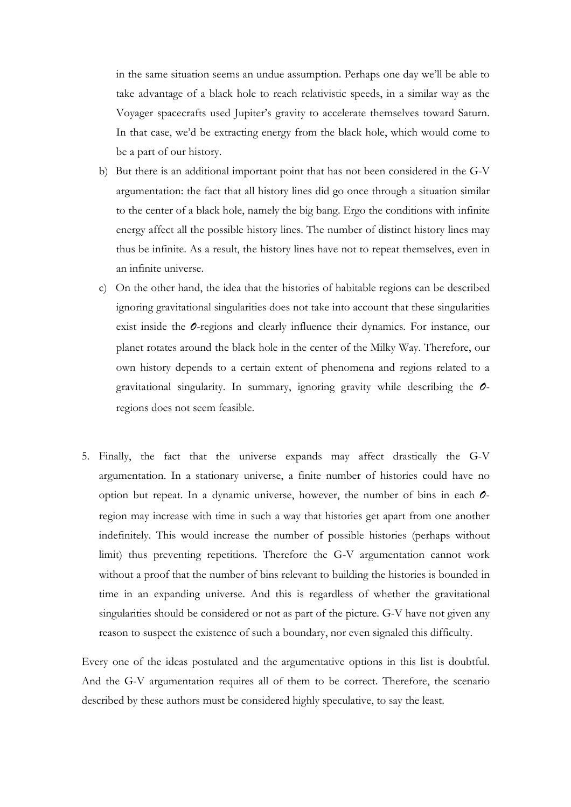in the same situation seems an undue assumption. Perhaps one day we'll be able to take advantage of a black hole to reach relativistic speeds, in a similar way as the Voyager spacecrafts used Jupiter's gravity to accelerate themselves toward Saturn. In that case, we'd be extracting energy from the black hole, which would come to be a part of our history.

- b) But there is an additional important point that has not been considered in the G-V argumentation: the fact that all history lines did go once through a situation similar to the center of a black hole, namely the big bang. Ergo the conditions with infinite energy affect all the possible history lines. The number of distinct history lines may thus be infinite. As a result, the history lines have not to repeat themselves, even in an infinite universe.
- c) On the other hand, the idea that the histories of habitable regions can be described ignoring gravitational singularities does not take into account that these singularities exist inside the *O*-regions and clearly influence their dynamics. For instance, our planet rotates around the black hole in the center of the Milky Way. Therefore, our own history depends to a certain extent of phenomena and regions related to a gravitational singularity. In summary, ignoring gravity while describing the *O*regions does not seem feasible.
- 5. Finally, the fact that the universe expands may affect drastically the G-V argumentation. In a stationary universe, a finite number of histories could have no option but repeat. In a dynamic universe, however, the number of bins in each *O*region may increase with time in such a way that histories get apart from one another indefinitely. This would increase the number of possible histories (perhaps without limit) thus preventing repetitions. Therefore the G-V argumentation cannot work without a proof that the number of bins relevant to building the histories is bounded in time in an expanding universe. And this is regardless of whether the gravitational singularities should be considered or not as part of the picture. G-V have not given any reason to suspect the existence of such a boundary, nor even signaled this difficulty.

Every one of the ideas postulated and the argumentative options in this list is doubtful. And the G-V argumentation requires all of them to be correct. Therefore, the scenario described by these authors must be considered highly speculative, to say the least.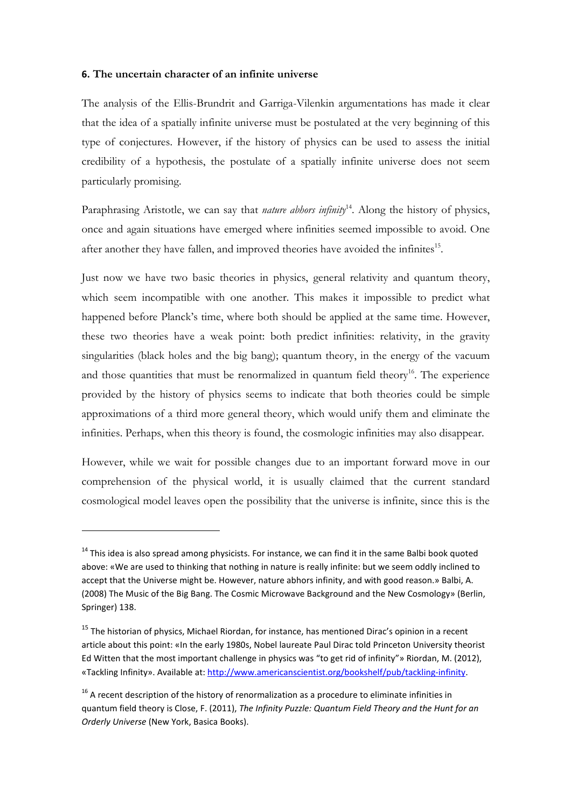#### **6. The uncertain character of an infinite universe**

The analysis of the Ellis-Brundrit and Garriga-Vilenkin argumentations has made it clear that the idea of a spatially infinite universe must be postulated at the very beginning of this type of conjectures. However, if the history of physics can be used to assess the initial credibility of a hypothesis, the postulate of a spatially infinite universe does not seem particularly promising.

Paraphrasing Aristotle, we can say that *nature abhors infinity*<sup>14</sup>. Along the history of physics, once and again situations have emerged where infinities seemed impossible to avoid. One after another they have fallen, and improved theories have avoided the infinites<sup>15</sup>.

Just now we have two basic theories in physics, general relativity and quantum theory, which seem incompatible with one another. This makes it impossible to predict what happened before Planck's time, where both should be applied at the same time. However, these two theories have a weak point: both predict infinities: relativity, in the gravity singularities (black holes and the big bang); quantum theory, in the energy of the vacuum and those quantities that must be renormalized in quantum field theory<sup>16</sup>. The experience provided by the history of physics seems to indicate that both theories could be simple approximations of a third more general theory, which would unify them and eliminate the infinities. Perhaps, when this theory is found, the cosmologic infinities may also disappear.

However, while we wait for possible changes due to an important forward move in our comprehension of the physical world, it is usually claimed that the current standard cosmological model leaves open the possibility that the universe is infinite, since this is the

 $14$  This idea is also spread among physicists. For instance, we can find it in the same Balbi book quoted above: «We are used to thinking that nothing in nature is really infinite: but we seem oddly inclined to accept that the Universe might be. However, nature abhors infinity, and with good reason.» Balbi, A. (2008) The Music of the Big Bang. The Cosmic Microwave Background and the New Cosmology» (Berlin, Springer) 138.

<sup>&</sup>lt;sup>15</sup> The historian of physics, Michael Riordan, for instance, has mentioned Dirac's opinion in a recent article about this point: «In the early 1980s, Nobel laureate Paul Dirac told Princeton University theorist Ed Witten that the most important challenge in physics was "to get rid of infinity"» Riordan, M. (2012), «Tackling Infinity». Available at: http://www.americanscientist.org/bookshelf/pub/tackling-infinity.

 $16$  A recent description of the history of renormalization as a procedure to eliminate infinities in quantum field theory is Close, F. (2011), *The Infinity Puzzle: Quantum Field Theory and the Hunt for an Orderly Universe* (New York, Basica Books).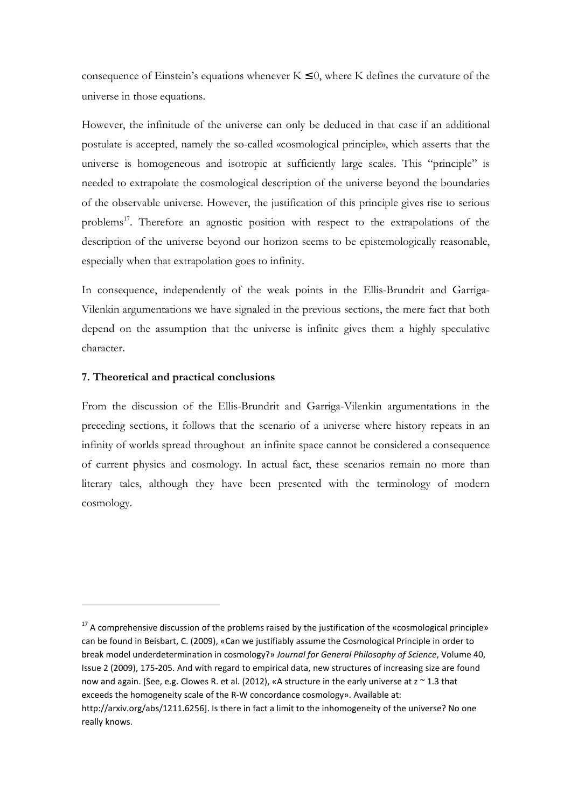consequence of Einstein's equations whenever  $K \leq 0$ , where K defines the curvature of the universe in those equations.

However, the infinitude of the universe can only be deduced in that case if an additional postulate is accepted, namely the so-called «cosmological principle», which asserts that the universe is homogeneous and isotropic at sufficiently large scales. This "principle" is needed to extrapolate the cosmological description of the universe beyond the boundaries of the observable universe. However, the justification of this principle gives rise to serious problems<sup>17</sup>. Therefore an agnostic position with respect to the extrapolations of the description of the universe beyond our horizon seems to be epistemologically reasonable, especially when that extrapolation goes to infinity.

In consequence, independently of the weak points in the Ellis-Brundrit and Garriga-Vilenkin argumentations we have signaled in the previous sections, the mere fact that both depend on the assumption that the universe is infinite gives them a highly speculative character.

# **7. Theoretical and practical conclusions**

From the discussion of the Ellis-Brundrit and Garriga-Vilenkin argumentations in the preceding sections, it follows that the scenario of a universe where history repeats in an infinity of worlds spread throughout an infinite space cannot be considered a consequence of current physics and cosmology. In actual fact, these scenarios remain no more than literary tales, although they have been presented with the terminology of modern cosmology.

 $\overline{\phantom{a}}$ 

 $17$  A comprehensive discussion of the problems raised by the justification of the «cosmological principle» can be found in Beisbart, C. (2009), «Can we justifiably assume the Cosmological Principle in order to break model underdetermination in cosmology?» *Journal for General Philosophy of Science*, Volume 40, Issue 2 (2009), 175-205. And with regard to empirical data, new structures of increasing size are found now and again. [See, e.g. Clowes R. et al. (2012), «A structure in the early universe at  $z \approx 1.3$  that exceeds the homogeneity scale of the R-W concordance cosmology». Available at: http://arxiv.org/abs/1211.6256]. Is there in fact a limit to the inhomogeneity of the universe? No one

really knows.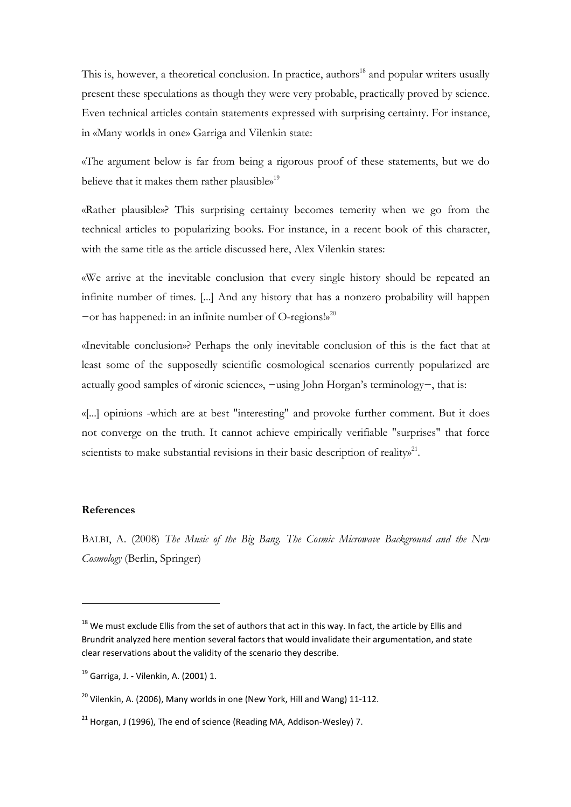This is, however, a theoretical conclusion. In practice, authors<sup>18</sup> and popular writers usually present these speculations as though they were very probable, practically proved by science. Even technical articles contain statements expressed with surprising certainty. For instance, in «Many worlds in one» Garriga and Vilenkin state:

«The argument below is far from being a rigorous proof of these statements, but we do believe that it makes them rather plausible»<sup>19</sup>

«Rather plausible»? This surprising certainty becomes temerity when we go from the technical articles to popularizing books. For instance, in a recent book of this character, with the same title as the article discussed here, Alex Vilenkin states:

«We arrive at the inevitable conclusion that every single history should be repeated an infinite number of times. [...] And any history that has a nonzero probability will happen  $-$ or has happened: in an infinite number of O-regions!»<sup>20</sup>

«Inevitable conclusion»? Perhaps the only inevitable conclusion of this is the fact that at least some of the supposedly scientific cosmological scenarios currently popularized are actually good samples of «ironic science», −using John Horgan's terminology−, that is:

«[...] opinions -which are at best "interesting" and provoke further comment. But it does not converge on the truth. It cannot achieve empirically verifiable "surprises" that force scientists to make substantial revisions in their basic description of reality $x^{21}$ .

#### **References**

l

BALBI, A. (2008) *The Music of the Big Bang. The Cosmic Microwave Background and the New Cosmology* (Berlin, Springer)

<sup>&</sup>lt;sup>18</sup> We must exclude Ellis from the set of authors that act in this way. In fact, the article by Ellis and Brundrit analyzed here mention several factors that would invalidate their argumentation, and state clear reservations about the validity of the scenario they describe.

 $19$  Garriga, J. - Vilenkin, A. (2001) 1.

 $20$  Vilenkin, A. (2006), Many worlds in one (New York, Hill and Wang) 11-112.

 $21$  Horgan, J (1996), The end of science (Reading MA, Addison-Wesley) 7.